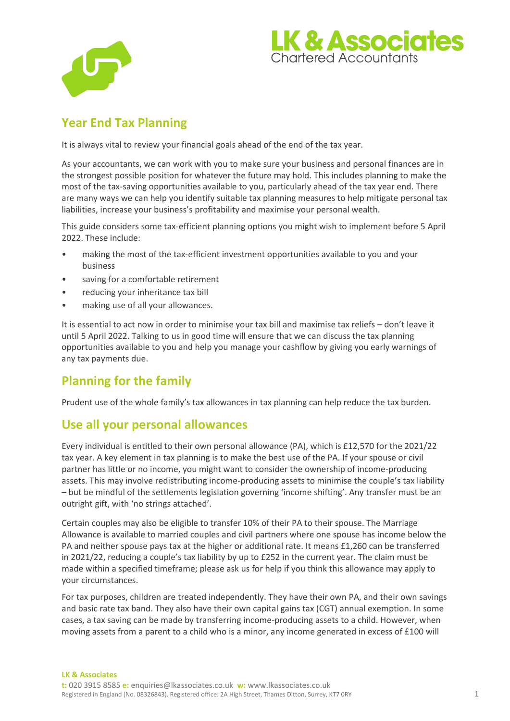



# **Year End Tax Planning**

It is always vital to review your financial goals ahead of the end of the tax year.

As your accountants, we can work with you to make sure your business and personal finances are in the strongest possible position for whatever the future may hold. This includes planning to make the most of the tax-saving opportunities available to you, particularly ahead of the tax year end. There are many ways we can help you identify suitable tax planning measures to help mitigate personal tax liabilities, increase your business's profitability and maximise your personal wealth.

This guide considers some tax-efficient planning options you might wish to implement before 5 April 2022. These include:

- making the most of the tax-efficient investment opportunities available to you and your business
- saving for a comfortable retirement
- reducing your inheritance tax bill
- making use of all your allowances.

It is essential to act now in order to minimise your tax bill and maximise tax reliefs – don't leave it until 5 April 2022. Talking to us in good time will ensure that we can discuss the tax planning opportunities available to you and help you manage your cashflow by giving you early warnings of any tax payments due.

## **Planning for the family**

Prudent use of the whole family's tax allowances in tax planning can help reduce the tax burden.

# **Use all your personal allowances**

Every individual is entitled to their own personal allowance (PA), which is £12,570 for the 2021/22 tax year. A key element in tax planning is to make the best use of the PA. If your spouse or civil partner has little or no income, you might want to consider the ownership of income-producing assets. This may involve redistributing income-producing assets to minimise the couple's tax liability – but be mindful of the settlements legislation governing 'income shifting'. Any transfer must be an outright gift, with 'no strings attached'.

Certain couples may also be eligible to transfer 10% of their PA to their spouse. The Marriage Allowance is available to married couples and civil partners where one spouse has income below the PA and neither spouse pays tax at the higher or additional rate. It means £1,260 can be transferred in 2021/22, reducing a couple's tax liability by up to £252 in the current year. The claim must be made within a specified timeframe; please ask us for help if you think this allowance may apply to your circumstances.

For tax purposes, children are treated independently. They have their own PA, and their own savings and basic rate tax band. They also have their own capital gains tax (CGT) annual exemption. In some cases, a tax saving can be made by transferring income-producing assets to a child. However, when moving assets from a parent to a child who is a minor, any income generated in excess of £100 will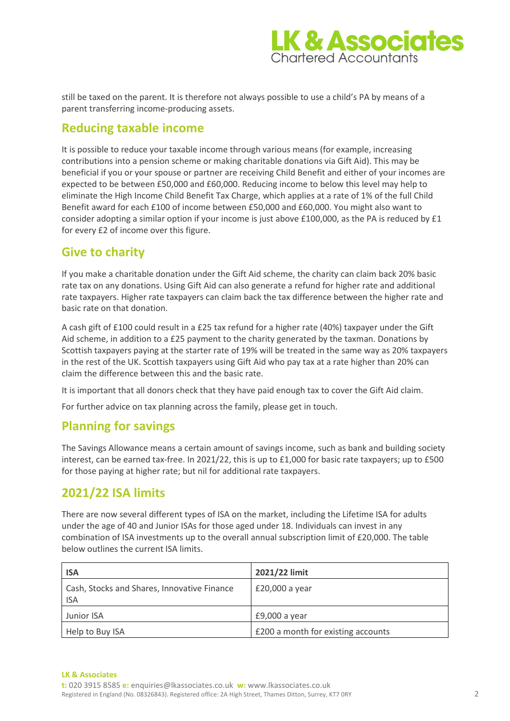

still be taxed on the parent. It is therefore not always possible to use a child's PA by means of a parent transferring income-producing assets.

## **Reducing taxable income**

It is possible to reduce your taxable income through various means (for example, increasing contributions into a pension scheme or making charitable donations via Gift Aid). This may be beneficial if you or your spouse or partner are receiving Child Benefit and either of your incomes are expected to be between £50,000 and £60,000. Reducing income to below this level may help to eliminate the High Income Child Benefit Tax Charge, which applies at a rate of 1% of the full Child Benefit award for each £100 of income between £50,000 and £60,000. You might also want to consider adopting a similar option if your income is just above £100,000, as the PA is reduced by £1 for every £2 of income over this figure.

## **Give to charity**

If you make a charitable donation under the Gift Aid scheme, the charity can claim back 20% basic rate tax on any donations. Using Gift Aid can also generate a refund for higher rate and additional rate taxpayers. Higher rate taxpayers can claim back the tax difference between the higher rate and basic rate on that donation.

A cash gift of £100 could result in a £25 tax refund for a higher rate (40%) taxpayer under the Gift Aid scheme, in addition to a £25 payment to the charity generated by the taxman. Donations by Scottish taxpayers paying at the starter rate of 19% will be treated in the same way as 20% taxpayers in the rest of the UK. Scottish taxpayers using Gift Aid who pay tax at a rate higher than 20% can claim the difference between this and the basic rate.

It is important that all donors check that they have paid enough tax to cover the Gift Aid claim.

For further advice on tax planning across the family, please get in touch.

#### **Planning for savings**

The Savings Allowance means a certain amount of savings income, such as bank and building society interest, can be earned tax-free. In 2021/22, this is up to £1,000 for basic rate taxpayers; up to £500 for those paying at higher rate; but nil for additional rate taxpayers.

## **2021/22 ISA limits**

There are now several different types of ISA on the market, including the Lifetime ISA for adults under the age of 40 and Junior ISAs for those aged under 18. Individuals can invest in any combination of ISA investments up to the overall annual subscription limit of £20,000. The table below outlines the current ISA limits.

| <b>ISA</b>                                                | 2021/22 limit                      |
|-----------------------------------------------------------|------------------------------------|
| Cash, Stocks and Shares, Innovative Finance<br><b>ISA</b> | £20,000 a year                     |
| Junior ISA                                                | $£9,000a$ year                     |
| Help to Buy ISA                                           | £200 a month for existing accounts |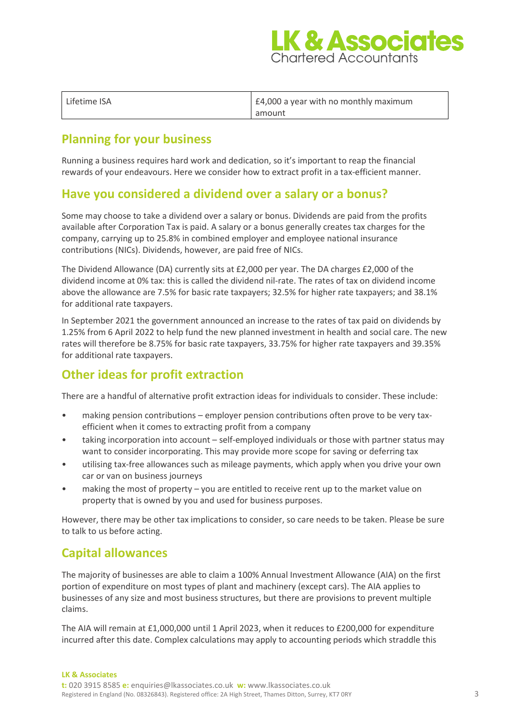

| Lifetime ISA | £4,000 a year with no monthly maximum |
|--------------|---------------------------------------|
|              | amount                                |

## **Planning for your business**

Running a business requires hard work and dedication, so it's important to reap the financial rewards of your endeavours. Here we consider how to extract profit in a tax-efficient manner.

#### **Have you considered a dividend over a salary or a bonus?**

Some may choose to take a dividend over a salary or bonus. Dividends are paid from the profits available after Corporation Tax is paid. A salary or a bonus generally creates tax charges for the company, carrying up to 25.8% in combined employer and employee national insurance contributions (NICs). Dividends, however, are paid free of NICs.

The Dividend Allowance (DA) currently sits at £2,000 per year. The DA charges £2,000 of the dividend income at 0% tax: this is called the dividend nil-rate. The rates of tax on dividend income above the allowance are 7.5% for basic rate taxpayers; 32.5% for higher rate taxpayers; and 38.1% for additional rate taxpayers.

In September 2021 the government announced an increase to the rates of tax paid on dividends by 1.25% from 6 April 2022 to help fund the new planned investment in health and social care. The new rates will therefore be 8.75% for basic rate taxpayers, 33.75% for higher rate taxpayers and 39.35% for additional rate taxpayers.

# **Other ideas for profit extraction**

There are a handful of alternative profit extraction ideas for individuals to consider. These include:

- making pension contributions employer pension contributions often prove to be very taxefficient when it comes to extracting profit from a company
- taking incorporation into account self-employed individuals or those with partner status may want to consider incorporating. This may provide more scope for saving or deferring tax
- utilising tax-free allowances such as mileage payments, which apply when you drive your own car or van on business journeys
- making the most of property you are entitled to receive rent up to the market value on property that is owned by you and used for business purposes.

However, there may be other tax implications to consider, so care needs to be taken. Please be sure to talk to us before acting.

## **Capital allowances**

The majority of businesses are able to claim a 100% Annual Investment Allowance (AIA) on the first portion of expenditure on most types of plant and machinery (except cars). The AIA applies to businesses of any size and most business structures, but there are provisions to prevent multiple claims.

The AIA will remain at £1,000,000 until 1 April 2023, when it reduces to £200,000 for expenditure incurred after this date. Complex calculations may apply to accounting periods which straddle this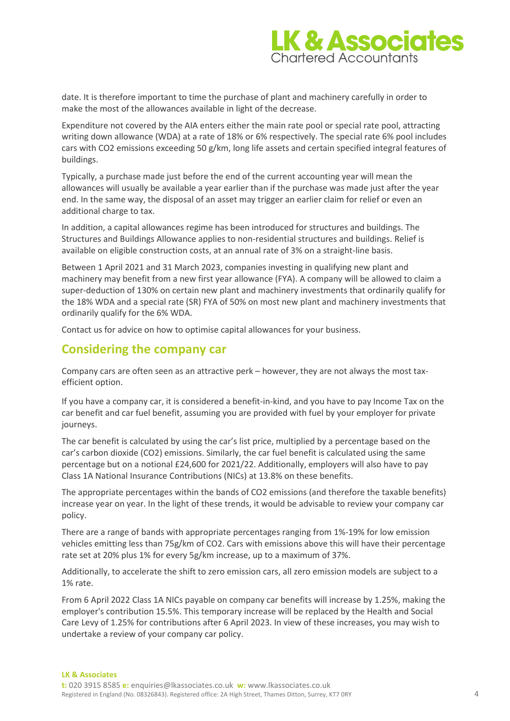

date. It is therefore important to time the purchase of plant and machinery carefully in order to make the most of the allowances available in light of the decrease.

Expenditure not covered by the AIA enters either the main rate pool or special rate pool, attracting writing down allowance (WDA) at a rate of 18% or 6% respectively. The special rate 6% pool includes cars with CO2 emissions exceeding 50 g/km, long life assets and certain specified integral features of buildings.

Typically, a purchase made just before the end of the current accounting year will mean the allowances will usually be available a year earlier than if the purchase was made just after the year end. In the same way, the disposal of an asset may trigger an earlier claim for relief or even an additional charge to tax.

In addition, a capital allowances regime has been introduced for structures and buildings. The Structures and Buildings Allowance applies to non-residential structures and buildings. Relief is available on eligible construction costs, at an annual rate of 3% on a straight-line basis.

Between 1 April 2021 and 31 March 2023, companies investing in qualifying new plant and machinery may benefit from a new first year allowance (FYA). A company will be allowed to claim a super-deduction of 130% on certain new plant and machinery investments that ordinarily qualify for the 18% WDA and a special rate (SR) FYA of 50% on most new plant and machinery investments that ordinarily qualify for the 6% WDA.

Contact us for advice on how to optimise capital allowances for your business.

#### **Considering the company car**

Company cars are often seen as an attractive perk – however, they are not always the most taxefficient option.

If you have a company car, it is considered a benefit-in-kind, and you have to pay Income Tax on the car benefit and car fuel benefit, assuming you are provided with fuel by your employer for private journeys.

The car benefit is calculated by using the car's list price, multiplied by a percentage based on the car's carbon dioxide (CO2) emissions. Similarly, the car fuel benefit is calculated using the same percentage but on a notional £24,600 for 2021/22. Additionally, employers will also have to pay Class 1A National Insurance Contributions (NICs) at 13.8% on these benefits.

The appropriate percentages within the bands of CO2 emissions (and therefore the taxable benefits) increase year on year. In the light of these trends, it would be advisable to review your company car policy.

There are a range of bands with appropriate percentages ranging from 1%-19% for low emission vehicles emitting less than 75g/km of CO2. Cars with emissions above this will have their percentage rate set at 20% plus 1% for every 5g/km increase, up to a maximum of 37%.

Additionally, to accelerate the shift to zero emission cars, all zero emission models are subject to a 1% rate.

From 6 April 2022 Class 1A NICs payable on company car benefits will increase by 1.25%, making the employer's contribution 15.5%. This temporary increase will be replaced by the Health and Social Care Levy of 1.25% for contributions after 6 April 2023. In view of these increases, you may wish to undertake a review of your company car policy.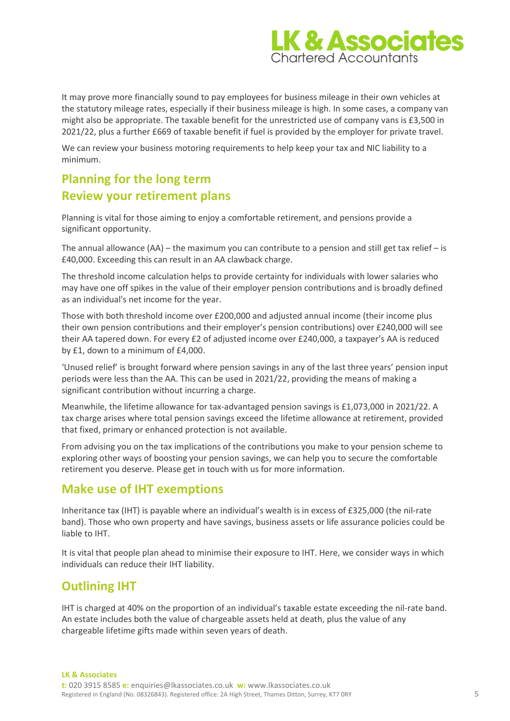

It may prove more financially sound to pay employees for business mileage in their own vehicles at the statutory mileage rates, especially if their business mileage is high. In some cases, a company van might also be appropriate. The taxable benefit for the unrestricted use of company vans is £3,500 in 2021/22, plus a further £669 of taxable benefit if fuel is provided by the employer for private travel.

We can review your business motoring requirements to help keep your tax and NIC liability to a minimum.

# **Planning for the long term Review your retirement plans**

Planning is vital for those aiming to enjoy a comfortable retirement, and pensions provide a significant opportunity.

The annual allowance  $(AA)$  – the maximum you can contribute to a pension and still get tax relief – is £40,000. Exceeding this can result in an AA clawback charge.

The threshold income calculation helps to provide certainty for individuals with lower salaries who may have one off spikes in the value of their employer pension contributions and is broadly defined as an individual's net income for the year.

Those with both threshold income over £200,000 and adjusted annual income (their income plus their own pension contributions and their employer's pension contributions) over £240,000 will see their AA tapered down. For every £2 of adjusted income over £240,000, a taxpayer's AA is reduced by £1, down to a minimum of £4,000.

'Unused relief' is brought forward where pension savings in any of the last three years' pension input periods were less than the AA. This can be used in 2021/22, providing the means of making a significant contribution without incurring a charge.

Meanwhile, the lifetime allowance for tax-advantaged pension savings is £1,073,000 in 2021/22. A tax charge arises where total pension savings exceed the lifetime allowance at retirement, provided that fixed, primary or enhanced protection is not available.

From advising you on the tax implications of the contributions you make to your pension scheme to exploring other ways of boosting your pension savings, we can help you to secure the comfortable retirement you deserve. Please get in touch with us for more information.

#### **Make use of IHT exemptions**

Inheritance tax (IHT) is payable where an individual's wealth is in excess of £325,000 (the nil-rate band). Those who own property and have savings, business assets or life assurance policies could be liable to IHT.

It is vital that people plan ahead to minimise their exposure to IHT. Here, we consider ways in which individuals can reduce their IHT liability.

## **Outlining IHT**

IHT is charged at 40% on the proportion of an individual's taxable estate exceeding the nil-rate band. An estate includes both the value of chargeable assets held at death, plus the value of any chargeable lifetime gifts made within seven years of death.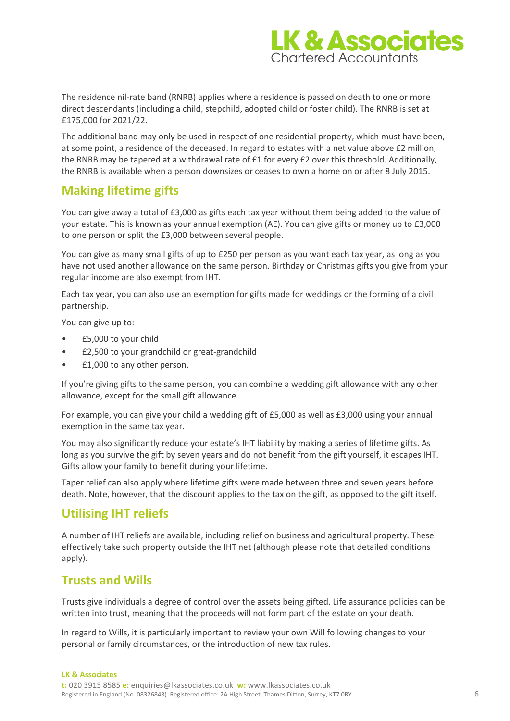

The residence nil-rate band (RNRB) applies where a residence is passed on death to one or more direct descendants (including a child, stepchild, adopted child or foster child). The RNRB is set at £175,000 for 2021/22.

The additional band may only be used in respect of one residential property, which must have been, at some point, a residence of the deceased. In regard to estates with a net value above £2 million, the RNRB may be tapered at a withdrawal rate of £1 for every £2 over this threshold. Additionally, the RNRB is available when a person downsizes or ceases to own a home on or after 8 July 2015.

#### **Making lifetime gifts**

You can give away a total of £3,000 as gifts each tax year without them being added to the value of your estate. This is known as your annual exemption (AE). You can give gifts or money up to £3,000 to one person or split the £3,000 between several people.

You can give as many small gifts of up to £250 per person as you want each tax year, as long as you have not used another allowance on the same person. Birthday or Christmas gifts you give from your regular income are also exempt from IHT.

Each tax year, you can also use an exemption for gifts made for weddings or the forming of a civil partnership.

You can give up to:

- £5,000 to your child
- £2,500 to your grandchild or great-grandchild
- £1,000 to any other person.

If you're giving gifts to the same person, you can combine a wedding gift allowance with any other allowance, except for the small gift allowance.

For example, you can give your child a wedding gift of £5,000 as well as £3,000 using your annual exemption in the same tax year.

You may also significantly reduce your estate's IHT liability by making a series of lifetime gifts. As long as you survive the gift by seven years and do not benefit from the gift yourself, it escapes IHT. Gifts allow your family to benefit during your lifetime.

Taper relief can also apply where lifetime gifts were made between three and seven years before death. Note, however, that the discount applies to the tax on the gift, as opposed to the gift itself.

## **Utilising IHT reliefs**

A number of IHT reliefs are available, including relief on business and agricultural property. These effectively take such property outside the IHT net (although please note that detailed conditions apply).

#### **Trusts and Wills**

Trusts give individuals a degree of control over the assets being gifted. Life assurance policies can be written into trust, meaning that the proceeds will not form part of the estate on your death.

In regard to Wills, it is particularly important to review your own Will following changes to your personal or family circumstances, or the introduction of new tax rules.